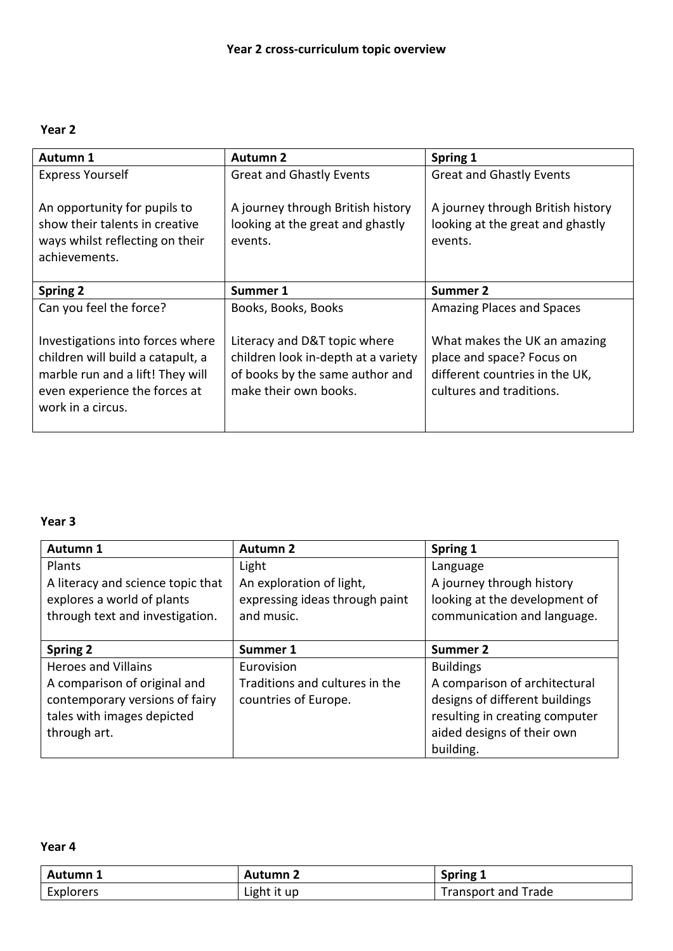### **Year 2**

| Autumn 1                                                                                                                                                        | <b>Autumn 2</b>                                                                                                                 | Spring 1                                                                                                                |
|-----------------------------------------------------------------------------------------------------------------------------------------------------------------|---------------------------------------------------------------------------------------------------------------------------------|-------------------------------------------------------------------------------------------------------------------------|
| <b>Express Yourself</b>                                                                                                                                         | <b>Great and Ghastly Events</b>                                                                                                 | <b>Great and Ghastly Events</b>                                                                                         |
| An opportunity for pupils to<br>show their talents in creative<br>ways whilst reflecting on their<br>achievements.                                              | A journey through British history<br>looking at the great and ghastly<br>events.                                                | A journey through British history<br>looking at the great and ghastly<br>events.                                        |
| <b>Spring 2</b>                                                                                                                                                 | Summer 1                                                                                                                        | Summer 2                                                                                                                |
| Can you feel the force?                                                                                                                                         | Books, Books, Books                                                                                                             | Amazing Places and Spaces                                                                                               |
| Investigations into forces where<br>children will build a catapult, a<br>marble run and a lift! They will<br>even experience the forces at<br>work in a circus. | Literacy and D&T topic where<br>children look in-depth at a variety<br>of books by the same author and<br>make their own books. | What makes the UK an amazing<br>place and space? Focus on<br>different countries in the UK,<br>cultures and traditions. |

### **Year 3**

| Autumn 1                          | <b>Autumn 2</b>                | Spring 1                       |
|-----------------------------------|--------------------------------|--------------------------------|
| Plants                            | Light                          | Language                       |
| A literacy and science topic that | An exploration of light,       | A journey through history      |
| explores a world of plants        | expressing ideas through paint | looking at the development of  |
| through text and investigation.   | and music.                     | communication and language.    |
|                                   |                                |                                |
| <b>Spring 2</b>                   | Summer 1                       | Summer 2                       |
| <b>Heroes and Villains</b>        | Eurovision                     | <b>Buildings</b>               |
| A comparison of original and      | Traditions and cultures in the | A comparison of architectural  |
| contemporary versions of fairy    | countries of Europe.           | designs of different buildings |
| tales with images depicted        |                                | resulting in creating computer |
| through art.                      |                                | aided designs of their own     |
|                                   |                                | building.                      |

#### **Year 4**

| <b>Autumn 1</b> | <b>Autumn 2</b> | Spring 1            |
|-----------------|-----------------|---------------------|
| Explorers       | Light it up     | Transport and Trade |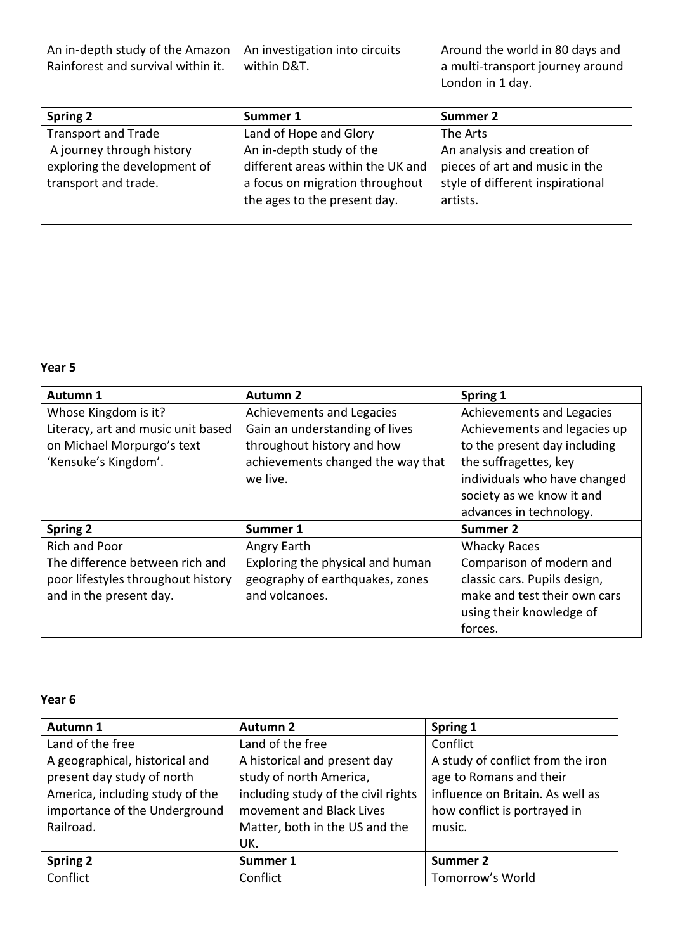| An in-depth study of the Amazon<br>Rainforest and survival within it.                                           | An investigation into circuits<br>within D&T.                                                                                                              | Around the world in 80 days and<br>a multi-transport journey around<br>London in 1 day.                                   |
|-----------------------------------------------------------------------------------------------------------------|------------------------------------------------------------------------------------------------------------------------------------------------------------|---------------------------------------------------------------------------------------------------------------------------|
| Spring 2                                                                                                        | Summer 1                                                                                                                                                   | Summer 2                                                                                                                  |
| <b>Transport and Trade</b><br>A journey through history<br>exploring the development of<br>transport and trade. | Land of Hope and Glory<br>An in-depth study of the<br>different areas within the UK and<br>a focus on migration throughout<br>the ages to the present day. | The Arts<br>An analysis and creation of<br>pieces of art and music in the<br>style of different inspirational<br>artists. |

# **Year 5**

| Autumn 1                           | <b>Autumn 2</b>                   | Spring 1                     |
|------------------------------------|-----------------------------------|------------------------------|
| Whose Kingdom is it?               | Achievements and Legacies         | Achievements and Legacies    |
| Literacy, art and music unit based | Gain an understanding of lives    | Achievements and legacies up |
| on Michael Morpurgo's text         | throughout history and how        | to the present day including |
| 'Kensuke's Kingdom'.               | achievements changed the way that | the suffragettes, key        |
|                                    | we live.                          | individuals who have changed |
|                                    |                                   | society as we know it and    |
|                                    |                                   | advances in technology.      |
| <b>Spring 2</b>                    | Summer 1                          | Summer 2                     |
| <b>Rich and Poor</b>               | Angry Earth                       | <b>Whacky Races</b>          |
| The difference between rich and    | Exploring the physical and human  | Comparison of modern and     |
| poor lifestyles throughout history | geography of earthquakes, zones   | classic cars. Pupils design, |
| and in the present day.            | and volcanoes.                    | make and test their own cars |
|                                    |                                   | using their knowledge of     |
|                                    |                                   | forces.                      |

# **Year 6**

| Autumn 1                        | <b>Autumn 2</b>                     | Spring 1                          |
|---------------------------------|-------------------------------------|-----------------------------------|
| Land of the free                | Land of the free                    | Conflict                          |
| A geographical, historical and  | A historical and present day        | A study of conflict from the iron |
| present day study of north      | study of north America,             | age to Romans and their           |
| America, including study of the | including study of the civil rights | influence on Britain. As well as  |
| importance of the Underground   | movement and Black Lives            | how conflict is portrayed in      |
| Railroad.                       | Matter, both in the US and the      | music.                            |
|                                 | UK.                                 |                                   |
| Spring 2                        | Summer 1                            | Summer 2                          |
| Conflict                        | Conflict                            | Tomorrow's World                  |